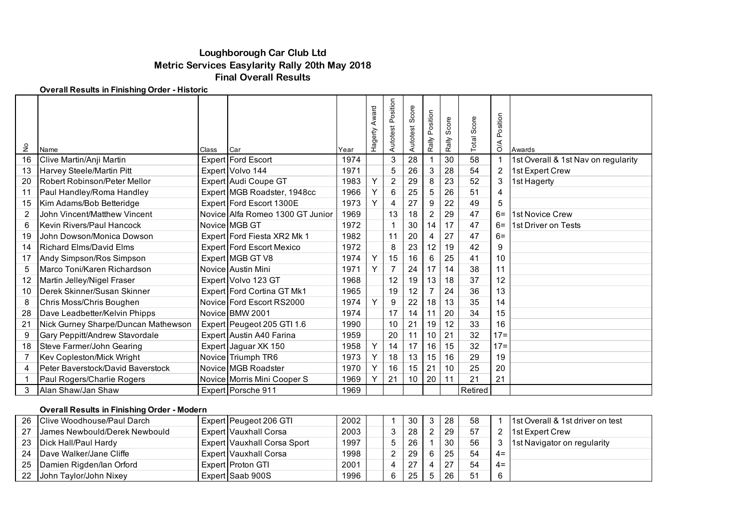# **Loughborough Car Club Ltd Metric Services Easylarity Rally 20th May 2018 Final Overall Results**

### **Overall Results in Finishing Order - Historic**

| $\frac{\mathsf{O}}{\mathsf{E}}$ | Name                                | Class | Car                              | Year | Award<br>Hagerty | osition<br>۵L<br>Autotest | Score<br>Autotest | osition<br>௳<br>Rally | Score<br>Rally | Score<br>Total | osition<br>௳<br>$\frac{4}{\sqrt{2}}$ | Awards                              |
|---------------------------------|-------------------------------------|-------|----------------------------------|------|------------------|---------------------------|-------------------|-----------------------|----------------|----------------|--------------------------------------|-------------------------------------|
| 16                              | Clive Martin/Anji Martin            |       | Expert Ford Escort               | 1974 |                  | 3                         | 28                |                       | 30             | 58             |                                      | 1st Overall & 1st Nav on regularity |
| 13                              | Harvey Steele/Martin Pitt           |       | Expert Volvo 144                 | 1971 |                  | 5                         | 26                | 3                     | 28             | 54             | 2                                    | 1st Expert Crew                     |
| 20                              | Robert Robinson/Peter Mellor        |       | Expert Audi Coupe GT             | 1983 | Y                | $\overline{2}$            | 29                | 8                     | 23             | 52             | 3                                    | 1st Hagerty                         |
| 11                              | Paul Handley/Roma Handley           |       | Expert MGB Roadster, 1948cc      | 1966 | Y                | 6                         | 25                | 5                     | 26             | 51             | 4                                    |                                     |
| 15                              | Kim Adams/Bob Betteridge            |       | Expert Ford Escort 1300E         | 1973 | Y                | 4                         | 27                | 9                     | 22             | 49             | 5                                    |                                     |
| 2                               | John Vincent/Matthew Vincent        |       | Novice Alfa Romeo 1300 GT Junior | 1969 |                  | 13                        | 18                | 2                     | 29             | 47             |                                      | 6= 1st Novice Crew                  |
| 6                               | Kevin Rivers/Paul Hancock           |       | Novice MGB GT                    | 1972 |                  | 1                         | 30                | 14                    | 17             | 47             | $6=$                                 | 1st Driver on Tests                 |
| 19                              | John Dowson/Monica Dowson           |       | Expert Ford Fiesta XR2 Mk 1      | 1982 |                  | 11                        | 20                | 4                     | 27             | 47             | $6=$                                 |                                     |
| 14                              | <b>Richard Elms/David Elms</b>      |       | Expert Ford Escort Mexico        | 1972 |                  | 8                         | 23                | 12                    | 19             | 42             | 9                                    |                                     |
| 17                              | Andy Simpson/Ros Simpson            |       | Expert MGB GT V8                 | 1974 | Y                | 15                        | 16                | 6                     | 25             | 41             | 10                                   |                                     |
| 5                               | Marco Toni/Karen Richardson         |       | Novice Austin Mini               | 1971 | Y                | $\overline{7}$            | 24                | 17                    | 14             | 38             | 11                                   |                                     |
| 12                              | Martin Jelley/Nigel Fraser          |       | Expert Volvo 123 GT              | 1968 |                  | 12                        | 19                | 13                    | 18             | 37             | 12                                   |                                     |
| 10                              | Derek Skinner/Susan Skinner         |       | Expert Ford Cortina GT Mk1       | 1965 |                  | 19                        | 12                | $\overline{7}$        | 24             | 36             | 13                                   |                                     |
| 8                               | Chris Moss/Chris Boughen            |       | Novice Ford Escort RS2000        | 1974 | Y                | 9                         | 22                | 18                    | 13             | 35             | 14                                   |                                     |
| 28                              | Dave Leadbetter/Kelvin Phipps       |       | Novice BMW 2001                  | 1974 |                  | 17                        | 14                |                       | 20             | 34             | 15                                   |                                     |
| 21                              | Nick Gurney Sharpe/Duncan Mathewson |       | Expert Peugeot 205 GTI 1.6       | 1990 |                  | 10                        | 21                | 19                    | 12             | 33             | 16                                   |                                     |
| 9                               | Gary Peppitt/Andrew Stavordale      |       | Expert Austin A40 Farina         | 1959 |                  | 20                        | 11                | 10                    | 21             | 32             | $17 =$                               |                                     |
| 18                              | Steve Farmer/John Gearing           |       | Expert Jaguar XK 150             | 1958 | Y                | 14                        | 17                | 16                    | 15             | 32             | $17 =$                               |                                     |
| 7                               | Kev Copleston/Mick Wright           |       | Novice Triumph TR6               | 1973 | Y                | 18                        | 13                | 15                    | 16             | 29             | 19                                   |                                     |
| 4                               | Peter Baverstock/David Baverstock   |       | Novice MGB Roadster              | 1970 | Y                | 16                        | 15                | 21                    | 10             | 25             | 20                                   |                                     |
|                                 | Paul Rogers/Charlie Rogers          |       | Novice Morris Mini Cooper S      | 1969 | Y                | 21                        | 10                | 20                    | 11             | 21             | 21                                   |                                     |
| 3                               | Alan Shaw/Jan Shaw                  |       | Expert Porsche 911               | 1969 |                  |                           |                   |                       |                | Retired        |                                      |                                     |

### **Overall Results in Finishing Order - Modern**

|    | 26 Clive Woodhouse/Paul Darch        |                                                             | Expert Peugeot 206 GTI   | 2002 |               | 30  | -28 | 58 |       | 11st Overall & 1st driver on test |
|----|--------------------------------------|-------------------------------------------------------------|--------------------------|------|---------------|-----|-----|----|-------|-----------------------------------|
| 27 | <b>James Newbould/Derek Newbould</b> | <b>Expert Vauxhall Corsa</b><br>Expert Vauxhall Corsa Sport |                          | 2003 | 3             | -28 | 29  | 57 |       | <b>1st Expert Crew</b>            |
|    | 23   Dick Hall/Paul Hardy            |                                                             |                          | 1997 | 5             | 26  | 30  | 56 |       | 1st Navigator on regularity       |
|    | 24 Dave Walker/Jane Cliffe           |                                                             | Expert Vauxhall Corsa    | 1998 | $\mathcal{D}$ | 29  | つら  | 54 | $4 =$ |                                   |
|    | 25   Damien Rigden/lan Orford        |                                                             | <b>Expert Proton GTI</b> | 2001 | 4             | 27  | ר מ | 54 | $4 =$ |                                   |
|    | 22 John Taylor/John Nixey            |                                                             | Expert Saab 900S         | 1996 | 6             | -25 | 2R  | 51 |       |                                   |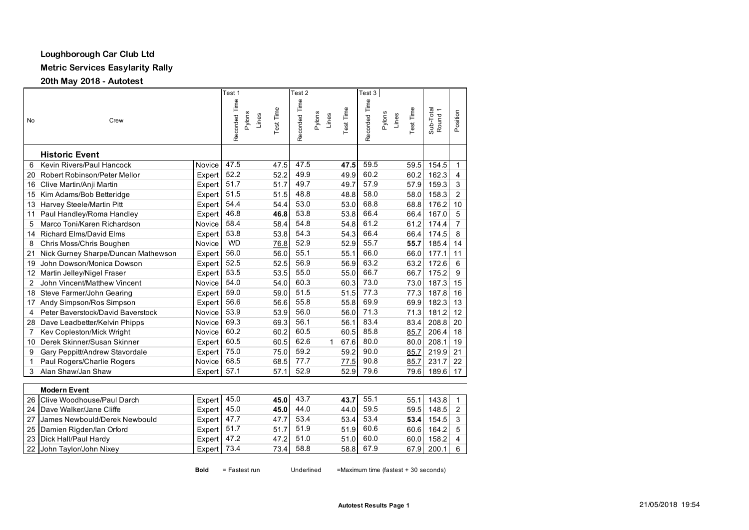# **Loughborough Car Club Ltd**

**Metric Services Easylarity Rally**

**20th May 2018 - Autotest** 

|    |                                     |           | Test 1                           |           | Test 2        |                 |           | Test 3        |                 |           |                                      |                |
|----|-------------------------------------|-----------|----------------------------------|-----------|---------------|-----------------|-----------|---------------|-----------------|-----------|--------------------------------------|----------------|
| No | Crew                                |           | Recorded Time<br>Pylons<br>Lines | Test Time | Recorded Time | Pylons<br>Lines | Test Time | Recorded Time | Pylons<br>Lines | Test Time | Sub-Total<br>$\overline{ }$<br>Round | Position       |
|    | <b>Historic Event</b>               |           |                                  |           |               |                 |           |               |                 |           |                                      |                |
| 6  | Kevin Rivers/Paul Hancock           | Novice    | 47.5                             | 47.5      | 47.5          |                 | 47.5      | 59.5          |                 | 59.5      | 154.5                                | $\mathbf{1}$   |
| 20 | Robert Robinson/Peter Mellor        | Expert    | 52.2                             | 52.2      | 49.9          |                 | 49.9      | 60.2          |                 | 60.2      | 162.3                                | 4              |
| 16 | Clive Martin/Anji Martin            | Expert    | 51.7                             | 51.7      | 49.7          |                 | 49.7      | 57.9          |                 | 57.9      | 159.3                                | 3              |
| 15 | Kim Adams/Bob Betteridge            | Expert    | 51.5                             | 51.5      | 48.8          |                 | 48.8      | 58.0          |                 | 58.0      | 158.3                                | $\overline{2}$ |
| 13 | Harvey Steele/Martin Pitt           | Expert    | 54.4                             | 54.4      | 53.0          |                 | 53.0      | 68.8          |                 | 68.8      | 176.2                                | 10             |
| 11 | Paul Handley/Roma Handley           | Expert    | 46.8                             | 46.8      | 53.8          |                 | 53.8      | 66.4          |                 | 66.4      | 167.0                                | 5              |
| 5  | Marco Toni/Karen Richardson         | Novice    | 58.4                             | 58.4      | 54.8          |                 | 54.8      | 61.2          |                 | 61.2      | 174.4                                | $\overline{7}$ |
| 14 | <b>Richard Elms/David Elms</b>      | Expert    | 53.8                             | 53.8      | 54.3          |                 | 54.3      | 66.4          |                 | 66.4      | 174.5                                | 8              |
| 8  | Chris Moss/Chris Boughen            | Novice    | <b>WD</b>                        | 76.8      | 52.9          |                 | 52.9      | 55.7          |                 | 55.7      | 185.4                                | 14             |
| 21 | Nick Gurney Sharpe/Duncan Mathewson | Expert    | 56.0                             | 56.0      | 55.1          |                 | 55.1      | 66.0          |                 | 66.0      | 177.1                                | 11             |
| 19 | John Dowson/Monica Dowson           | Expert    | 52.5                             | 52.5      | 56.9          |                 | 56.9      | 63.2          |                 | 63.2      | 172.6                                | 6              |
| 12 | Martin Jelley/Nigel Fraser          | Expert    | 53.5                             | 53.5      | 55.0          |                 | 55.0      | 66.7          |                 | 66.7      | 175.2                                | 9              |
| 2  | John Vincent/Matthew Vincent        | Novice    | 54.0                             | 54.0      | 60.3          |                 | 60.3      | 73.0          |                 | 73.0      | 187.3                                | 15             |
| 18 | Steve Farmer/John Gearing           | Expert    | 59.0                             | 59.0      | 51.5          |                 | 51.5      | 77.3          |                 | 77.3      | 187.8                                | 16             |
| 17 | Andy Simpson/Ros Simpson            | Expert    | 56.6                             | 56.6      | 55.8          |                 | 55.8      | 69.9          |                 | 69.9      | 182.3                                | 13             |
| 4  | Peter Baverstock/David Baverstock   | Novice    | 53.9                             | 53.9      | 56.0          |                 | 56.0      | 71.3          |                 | 71.3      | 181.2                                | 12             |
| 28 | Dave Leadbetter/Kelvin Phipps       | Novice    | 69.3                             | 69.3      | 56.1          |                 | 56.1      | 83.4          |                 | 83.4      | 208.8                                | 20             |
| 7  | Kev Copleston/Mick Wright           | Novice    | 60.2                             | 60.2      | 60.5          |                 | 60.5      | 85.8          |                 | 85.7      | 206.4                                | 18             |
| 10 | Derek Skinner/Susan Skinner         | Expert    | 60.5                             | 60.5      | 62.6          | 1               | 67.6      | 80.0          |                 | 80.0      | 208.1                                | 19             |
| 9  | Gary Peppitt/Andrew Stavordale      | Expert    | 75.0                             | 75.0      | 59.2          |                 | 59.2      | 90.0          |                 | 85.7      | 219.9                                | 21             |
| 1  | Paul Rogers/Charlie Rogers          | Novice    | 68.5                             | 68.5      | 77.7          |                 | 77.5      | 90.8          |                 | 85.7      | 231.7                                | 22             |
| 3  | Alan Shaw/Jan Shaw                  | Expert    | 57.1                             | 57.1      | 52.9          |                 | 52.9      | 79.6          |                 | 79.6      | 189.6                                | 17             |
|    | <b>Modern Event</b>                 |           |                                  |           |               |                 |           |               |                 |           |                                      |                |
| 26 | Clive Woodhouse/Paul Darch          | Expert    | 45.0                             | 45.0      | 43.7          |                 | 43.7      | 55.1          |                 | 55.1      | 143.8                                | 1              |
| 24 | Dave Walker/Jane Cliffe             | Front 450 |                                  | 45 O      | 440           |                 | 44 N      | 595           |                 | 595       | 1485                                 | $\mathcal{D}$  |

| zo TClive Woodhouse/Paul Darch   | <b>EXDELL 45.0</b> |      | 43.UI 43.I | 43.71 99.1 | 33.TT | 140.01       |                |
|----------------------------------|--------------------|------|------------|------------|-------|--------------|----------------|
| 24 Dave Walker/Jane Cliffe       | Expert $45.0$      | 45.0 | 44.0       | 44.0 59.5  | 59.5  | $148.5$ 2    |                |
| 27 James Newbould/Derek Newbould | Expert 47.7        |      | 47.7 53.4  | 53.4 53.4  | 53.4  | $154.5$ 3    |                |
| 25 Damien Rigden/lan Orford      | Expert $51.7$      |      | 51.7 51.9  | 51.9 60.6  | 60.6  | $164.2$ 5    |                |
| 23 Dick Hall/Paul Hardy          | Expert $47.2$      | 47.2 | 51.0       | 51.0 60.0  | 60.0  | 158.2        | $\overline{4}$ |
| 22 John Taylor/John Nixey        | Expert 73.4        | 73.4 | 58.8       | 58.8 67.9  |       | 67.9 200.1 6 |                |

**Bold** = Fastest run Underlined =Maximum time (fastest + 30 seconds)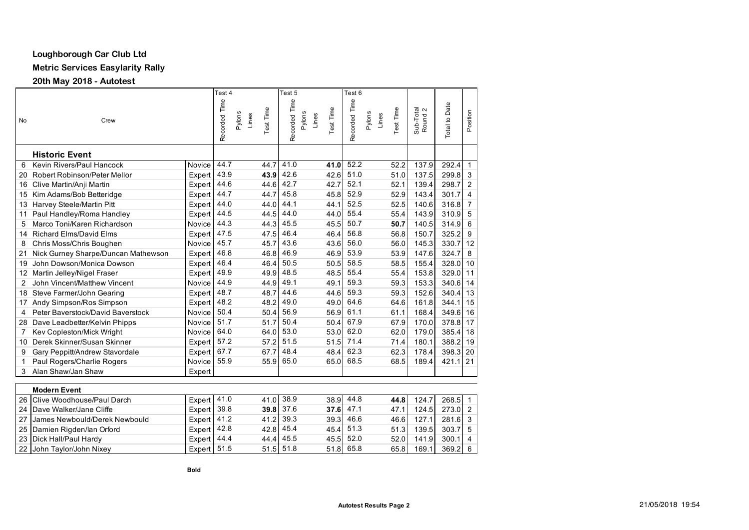# **Loughborough Car Club Ltd**

**Metric Services Easylarity Rally**

**20th May 2018 - Autotest** 

|    |                                                            |                           | Test 4        |        |       |           | Test 5        |                 |                  | Test <sub>6</sub> |        |       |           |                      |               |                |
|----|------------------------------------------------------------|---------------------------|---------------|--------|-------|-----------|---------------|-----------------|------------------|-------------------|--------|-------|-----------|----------------------|---------------|----------------|
| No | Crew                                                       |                           | Recorded Time | Pylons | Lines | Test Time | Recorded Time | Pylons<br>Lines | <b>Test Time</b> | Recorded Time     | Pylons | Lines | Test Time | Sub-Total<br>Round 2 | Total to Date | Position       |
|    | <b>Historic Event</b>                                      |                           |               |        |       |           |               |                 |                  |                   |        |       |           |                      |               |                |
| 6  | Kevin Rivers/Paul Hancock                                  | Novice                    | 44.7          |        |       | 44.7      | 41.0          |                 | 41.0             | 52.2              |        |       | 52.2      | 137.9                | 292.4         | $\mathbf{1}$   |
| 20 | Robert Robinson/Peter Mellor                               | Expert                    | 43.9          |        |       | 43.9      | 42.6          |                 | 42.6             | 51.0              |        |       | 51.0      | 137.5                | 299.8         | 3              |
| 16 | Clive Martin/Anji Martin                                   | Expert                    | 44.6          |        |       | 44.6      | 42.7          |                 | 42.7             | 52.1              |        |       | 52.1      | 139.4                | 298.7         | $\overline{2}$ |
| 15 | Kim Adams/Bob Betteridge                                   | Expert                    | 44.7          |        |       | 44.7      | 45.8          |                 | 45.8             | 52.9              |        |       | 52.9      | 143.4                | 301.7         | $\overline{4}$ |
| 13 | Harvey Steele/Martin Pitt                                  | Expert                    | 44.0          |        |       | 44.0      | 44.1          |                 | 44.1             | 52.5              |        |       | 52.5      | 140.6                | 316.8         | $\overline{7}$ |
| 11 | Paul Handley/Roma Handley                                  | Expert                    | 44.5          |        |       | 44.5      | 44.0          |                 | 44.0             | 55.4              |        |       | 55.4      | 143.9                | 310.9         | 5              |
| 5  | Marco Toni/Karen Richardson                                | Novice                    | 44.3          |        |       | 44.3      | 45.5          |                 | 45.5             | 50.7              |        |       | 50.7      | 140.5                | 314.9         | 6              |
| 14 | <b>Richard Elms/David Elms</b>                             | Expert                    | 47.5          |        |       | 47.5      | 46.4          |                 | 46.4             | 56.8              |        |       | 56.8      | 150.7                | 325.2         | 9              |
| 8  | Chris Moss/Chris Boughen                                   | Novice                    | 45.7          |        |       | 45.7      | 43.6          |                 | 43.6             | 56.0              |        |       | 56.0      | 145.3                | 330.7         | 12             |
| 21 | Nick Gurney Sharpe/Duncan Mathewson                        | Expert                    | 46.8          |        |       | 46.8      | 46.9          |                 | 46.9             | 53.9              |        |       | 53.9      | 147.6                | 324.7         | 8              |
| 19 | John Dowson/Monica Dowson                                  | Expert                    | 46.4          |        |       | 46.4      | 50.5          |                 | 50.5             | 58.5              |        |       | 58.5      | 155.4                | 328.0         | 10             |
| 12 | Martin Jelley/Nigel Fraser                                 | Expert                    | 49.9          |        |       | 49.9      | 48.5          |                 | 48.5             | 55.4              |        |       | 55.4      | 153.8                | 329.0         | 11             |
| 2  | John Vincent/Matthew Vincent                               | Novice                    | 44.9          |        |       | 44.9      | 49.1          |                 | 49.1             | 59.3              |        |       | 59.3      | 153.3                | 340.6         | 14             |
| 18 | Steve Farmer/John Gearing                                  | Expert                    | 48.7          |        |       | 48.7      | 44.6          |                 | 44.6             | 59.3              |        |       | 59.3      | 152.6                | 340.4         | 13             |
| 17 | Andy Simpson/Ros Simpson                                   | Expert                    | 48.2          |        |       | 48.2      | 49.0          |                 | 49.0             | 64.6              |        |       | 64.6      | 161.8                | 344.1         | 15             |
| 4  | Peter Baverstock/David Baverstock                          | Novice                    | 50.4          |        |       | 50.4      | 56.9          |                 | 56.9             | 61.1              |        |       | 61.1      | 168.4                | 349.6         | 16             |
| 28 | Dave Leadbetter/Kelvin Phipps                              | Novice                    | 51.7          |        |       | 51.7      | 50.4          |                 | 50.4             | 67.9              |        |       | 67.9      | 170.0                | 378.8         | 17             |
| 7  | Kev Copleston/Mick Wright                                  | Novice                    | 64.0          |        |       | 64.0      | 53.0          |                 | 53.0             | 62.0              |        |       | 62.0      | 179.0                | 385.4         | 18             |
| 10 | Derek Skinner/Susan Skinner                                | Expert                    | 57.2          |        |       | 57.2      | 51.5          |                 | 51.5             | 71.4              |        |       | 71.4      | 180.1                | 388.2         | 19             |
| 9  | Gary Peppitt/Andrew Stavordale                             | Expert                    | 67.7          |        |       | 67.7      | 48.4          |                 | 48.4             | 62.3              |        |       | 62.3      | 178.4                | 398.3         | 20             |
| 1  | Paul Rogers/Charlie Rogers                                 | Novice                    | 55.9          |        |       | 55.9      | 65.0          |                 | 65.0             | 68.5              |        |       | 68.5      | 189.4                | 421.1         | 21             |
| 3  | Alan Shaw/Jan Shaw                                         | Expert                    |               |        |       |           |               |                 |                  |                   |        |       |           |                      |               |                |
|    |                                                            |                           |               |        |       |           |               |                 |                  |                   |        |       |           |                      |               |                |
|    | <b>Modern Event</b><br>$20 \text{ N}$<br>Allan Davil David | $r = 1$<br>$\overline{a}$ | 440           |        |       |           | 11000         |                 | 2000             | $\overline{AB}$   |        |       | 44 O.L    | $404 \overline{7}$   | 200E          |                |

| 26 Clive Woodhouse/Paul Darch    | Expert 41.0   |      | 41.0 38.9   | 38.9 44.8   | 44.8 | 124.7 | 268.5     |  |
|----------------------------------|---------------|------|-------------|-------------|------|-------|-----------|--|
| 24 Dave Walker/Jane Cliffe       | Expert        | 39.8 | $39.8$ 37.6 | $37.6$ 47.1 | 47.1 | 124.5 | 273.0 2   |  |
| 27 James Newbould/Derek Newbould | Expert $41.2$ |      | 41.2 39.3   | $39.3$ 46.6 | 46.6 | 127.1 | 281.6 3   |  |
| 25 Damien Rigden/lan Orford      | Expert $42.8$ |      | 42.8 45.4   | $45.4$ 51.3 | 51.3 | 139.5 | 303.7 5   |  |
| 23 Dick Hall/Paul Hardy          | Expert        | 44.4 | 44.4 45.5   | $45.5$ 52.0 | 52.0 | 141.9 | $300.1$ 4 |  |
| 22 John Taylor/John Nixey        | Expert I      | 51.5 | $51.5$ 51.8 | $51.8$ 65.8 | 65.8 | 169.1 | $369.2$ 6 |  |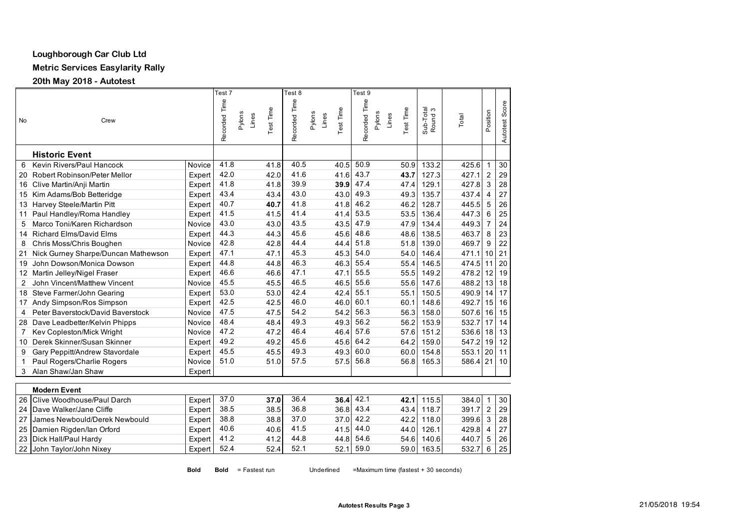# **Loughborough Car Club Ltd**

**Metric Services Easylarity Rally**

**20th May 2018 - Autotest** 

|                |                                     |        | Test 7        |                 |           | Test 8        |                 |           | Test 9        |                 |                  |                      |       |                |                |
|----------------|-------------------------------------|--------|---------------|-----------------|-----------|---------------|-----------------|-----------|---------------|-----------------|------------------|----------------------|-------|----------------|----------------|
| <b>No</b>      | Crew                                |        | Recorded Time | Pylons<br>Lines | Test Time | Recorded Time | Pylons<br>Lines | Test Time | Recorded Time | Pylons<br>Lines | <b>Test Time</b> | Sub-Total<br>Round 3 | Total | Position       | Autotest Score |
|                | <b>Historic Event</b>               |        |               |                 |           |               |                 |           |               |                 |                  |                      |       |                |                |
| 6              | Kevin Rivers/Paul Hancock           | Novice | 41.8          |                 | 41.8      | 40.5          |                 | 40.5      | 50.9          |                 | 50.9             | 133.2                | 425.6 | $\mathbf{1}$   | 30             |
| 20             | Robert Robinson/Peter Mellor        | Expert | 42.0          |                 | 42.0      | 41.6          |                 | 41.6      | 43.7          |                 | 43.7             | 127.3                | 427.1 | $\overline{2}$ | 29             |
| 16             | Clive Martin/Anji Martin            | Expert | 41.8          |                 | 41.8      | 39.9          |                 | 39.9      | 47.4          |                 | 47.4             | 129.1                | 427.8 | $\overline{3}$ | 28             |
| 15             | Kim Adams/Bob Betteridge            | Expert | 43.4          |                 | 43.4      | 43.0          |                 | 43.0      | 49.3          |                 | 49.3             | 135.7                | 437.4 | 4              | 27             |
| 13             | Harvey Steele/Martin Pitt           | Expert | 40.7          |                 | 40.7      | 41.8          |                 | 41.8      | 46.2          |                 | 46.2             | 128.7                | 445.5 | 5              | 26             |
| 11             | Paul Handley/Roma Handley           | Expert | 41.5          |                 | 41.5      | 41.4          |                 | 41.4      | 53.5          |                 | 53.5             | 136.4                | 447.3 | 6              | 25             |
| 5              | Marco Toni/Karen Richardson         | Novice | 43.0          |                 | 43.0      | 43.5          |                 | 43.5      | 47.9          |                 | 47.9             | 134.4                | 449.3 |                | 24             |
| 14             | <b>Richard Elms/David Elms</b>      | Expert | 44.3          |                 | 44.3      | 45.6          |                 | 45.6      | 48.6          |                 | 48.6             | 138.5                | 463.7 | 8              | 23             |
| 8              | Chris Moss/Chris Boughen            | Novice | 42.8          |                 | 42.8      | 44.4          |                 | 44.4      | 51.8          |                 | 51.8             | 139.0                | 469.7 | 9              | 22             |
| 21             | Nick Gurney Sharpe/Duncan Mathewson | Expert | 47.1          |                 | 47.1      | 45.3          |                 | 45.3      | 54.0          |                 | 54.0             | 146.4                | 471.1 | 10             | 21             |
| 19             | John Dowson/Monica Dowson           | Expert | 44.8          |                 | 44.8      | 46.3          |                 | 46.3      | 55.4          |                 | 55.4             | 146.5                | 474.5 | 11             | 20             |
| 12             | Martin Jelley/Nigel Fraser          | Expert | 46.6          |                 | 46.6      | 47.1          |                 | 47.1      | 55.5          |                 | 55.5             | 149.2                | 478.2 | 12             | 19             |
| $\overline{2}$ | John Vincent/Matthew Vincent        | Novice | 45.5          |                 | 45.5      | 46.5          |                 | 46.5      | 55.6          |                 | 55.6             | 147.6                | 488.2 | 13             | 18             |
| 18             | Steve Farmer/John Gearing           | Expert | 53.0          |                 | 53.0      | 42.4          |                 | 42.4      | 55.1          |                 | 55.1             | 150.5                | 490.9 | 14             | 17             |
| 17             | Andy Simpson/Ros Simpson            | Expert | 42.5          |                 | 42.5      | 46.0          |                 | 46.0      | 60.1          |                 | 60.1             | 148.6                | 492.7 | 15             | 16             |
| 4              | Peter Baverstock/David Baverstock   | Novice | 47.5          |                 | 47.5      | 54.2          |                 | 54.2      | 56.3          |                 | 56.3             | 158.0                | 507.6 | 16             | 15             |
| 28             | Dave Leadbetter/Kelvin Phipps       | Novice | 48.4          |                 | 48.4      | 49.3          |                 | 49.3      | 56.2          |                 | 56.2             | 153.9                | 532.7 | 17             | 14             |
| 7              | Kev Copleston/Mick Wright           | Novice | 47.2          |                 | 47.2      | 46.4          |                 | 46.4      | 57.6          |                 | 57.6             | 151.2                | 536.6 | 18             | 13             |
| 10             | Derek Skinner/Susan Skinner         | Expert | 49.2          |                 | 49.2      | 45.6          |                 | 45.6      | 64.2          |                 | 64.2             | 159.0                | 547.2 | 19             | 12             |
| 9              | Gary Peppitt/Andrew Stavordale      | Expert | 45.5          |                 | 45.5      | 49.3          |                 | 49.3      | 60.0          |                 | 60.0             | 154.8                | 553.1 | 20             | 11             |
| 1              | Paul Rogers/Charlie Rogers          | Novice | 51.0          |                 | 51.0      | 57.5          |                 | 57.5      | 56.8          |                 | 56.8             | 165.3                | 586.4 | 21             | 10             |
| 3              | Alan Shaw/Jan Shaw                  | Expert |               |                 |           |               |                 |           |               |                 |                  |                      |       |                |                |
|                |                                     |        |               |                 |           |               |                 |           |               |                 |                  |                      |       |                |                |
|                | <b>Modern Event</b>                 |        |               |                 |           |               |                 |           |               |                 |                  |                      |       |                |                |

| 26 Clive Woodhouse/Paul Darch    | Expert 37.0 |      | 37.0 | 36.4 | $36.4$ 42.1 |      | 42.1   115.5 | 384.0        | 30 |
|----------------------------------|-------------|------|------|------|-------------|------|--------------|--------------|----|
| 24 Dave Walker/Jane Cliffe       | Expert I    | 38.5 | 38.5 | 36.8 | 36.8 43.4   | 43.4 | 118.7        | $391.7$   2  | 29 |
| 27 James Newbould/Derek Newbould | Expert      | 38.8 | 38.8 | 37.0 | 37.0 42.2   | 42.2 | 118.0        | $399.6$ 3 28 |    |
| 25 Damien Rigden/lan Orford      | Expert      | 40.6 | 40.6 | 41.5 | $41.5$ 44.0 |      | 44.0 126.1   | $429.8$ 4 27 |    |
| 23 Dick Hall/Paul Hardy          | Expert I    | 41.2 | 41.2 | 44.8 | 44.8 54.6   | 54.6 | 140.6        | 440.7 5 26   |    |
| 22 John Taylor/John Nixey        | Expert      | 52.4 | 52.4 | 52.1 | 52.1 59.0   | 59.0 | 163.5        | $532.7$ 6    | 25 |

**Bold Bold = Fastest run** 

Underlined =Maximum time (fastest + 30 seconds)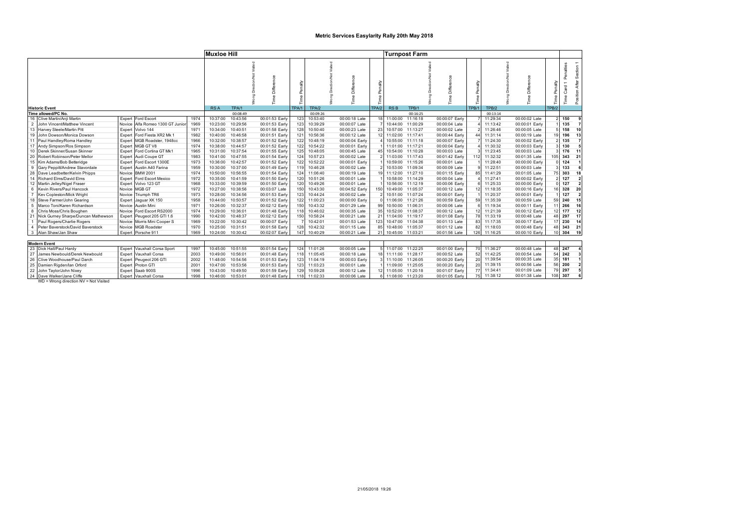### **Metric Services Easylarity Rally 20th May 2018**

|                |                                     |                     |                                  |      | <b>Muxloe Hill</b> |          |                |                 |          |                      |             |            | <b>Turnpost Farm</b> |                |                  |          |                |                  |                           |                                 |
|----------------|-------------------------------------|---------------------|----------------------------------|------|--------------------|----------|----------------|-----------------|----------|----------------------|-------------|------------|----------------------|----------------|------------------|----------|----------------|------------------|---------------------------|---------------------------------|
|                | <b>Historic Event</b>               |                     |                                  |      | <b>RSA</b>         | TPA/1    | Diffe          | 츸<br>TPA/1      | TPA/2    | Difference<br>$\Phi$ | á<br>TPA/2  | <b>RSB</b> | TPB/1                | Diffe          | Penalty<br>TPB/1 | TPB/2    | Diffe          | Penalty<br>TPB/2 | Penalties<br>Card<br>lime | Section 1<br>After<br>Position. |
|                | Time allowed/PC No.                 |                     |                                  |      |                    | 00:08:49 |                |                 | 00:09:26 |                      |             |            | 00:16:25             |                |                  | 00:13:14 |                |                  |                           |                                 |
|                | 16 Clive Martin/Anii Martin         | Expert              | Ford Escort                      | 1974 | 10:37:00           | 10:43:56 | 00:01:53 Early | 123             | 10:53:40 | 00:00:18 Late        |             | 11:00:00   | 11:16:18             | 00:00:07 Early |                  | 11:29:34 | 00:00:02 Late  |                  | 150                       |                                 |
| $\overline{2}$ | John Vincent/Matthew Vincent        |                     | Novice Alfa Romeo 1300 GT Junior | 1969 | 10:23:00           | 10:29:56 | 00:01:53 Early | 123             | 10:39:29 | 00:00:07 Late        |             | 10:44:00   | 11:00:29             | 00:00:04 Late  |                  | 11:13:42 | 00:00:01 Early |                  | 135                       |                                 |
|                | 13 Harvey Steele/Martin Pitt        |                     | Expert Volvo 144                 | 1971 | 10:34:00           | 10:40:51 | 00:01:58 Early | 128             | 10:50:40 | 00:00:23 Late        |             | 10:57:00   | 11:13:27             | 00:00:02 Late  |                  | 11:26:46 | 00:00:05 Late  |                  | 158                       | 10                              |
| 19             | John Dowson/Monica Dowson           | Expert              | Ford Fiesta XR2 Mk 1             | 1982 | 10:40:00           | 10:46:58 | 00:01:51 Early | 12 <sup>1</sup> | 10:56:36 | 00:00:12 Late        |             | 11:02:00   | 11:17:41             | 00:00:44 Early |                  | 11:31:14 | 00:00:19 Late  |                  | 196                       | 13                              |
|                | 11 Paul Handley/Roma Handley        | Expert              | MGB Roadster, 1948cc             | 1966 | 10:32:00           | 10:38:57 | 00:01:52 Early | 122             | 10:48:19 | 00:00:04 Early       |             | 10:55:00   | 11:11:18             | 00:00:07 Early |                  | 11:24:30 | 00:00:02 Early |                  | 135                       |                                 |
|                | 17 Andy Simpson/Ros Simpson         | Expert              | MGB GT V8                        | 1974 | 10:38:00           | 10:44:57 | 00:01:52 Early | 122             | 10:54:22 | 00:00:01 Early       |             | 11:01:00   | 11:17:21             | 00:00:04 Early |                  | 11:30:32 | 00:00:03 Early |                  | 130                       |                                 |
|                | Derek Skinner/Susan Skinner         | Expert              | Ford Cortina GT Mk1              | 1965 | 10:31:00           | 10:37:54 | 00:01:55 Early | 125             | 10:48:05 | 00:00:45 Late        |             | 10:54:00   | 11:10:28             | 00:00:03 Late  |                  | 11:23:45 | 00:00:03 Late  |                  | 176                       | 11                              |
| 20             | Robert Robinson/Peter Mellor        |                     | Expert Audi Coupe GT             | 1983 | 10:41:00           | 10:47:55 | 00:01:54 Early | 124             | 10:57:23 | 00:00:02 Late        |             | 11:03:00   | 11:17:43             | 00:01:42 Early | 112              | 11:32:32 | 00:01:35 Late  | 10 <sub>1</sub>  | 343                       | 21                              |
|                | 15 Kim Adams/Bob Betteridge         | Expert              | Ford Escort 1300E                | 1973 | 10:36:00           | 10:42:57 | 00:01:52 Early | 122             | 10:52:22 | 00:00:01 Early       |             | 10:59:00   | 11:15:26             | 00:00:01 Late  |                  | 11:28:40 | 00:00:00 Early |                  | 124                       |                                 |
| 9              | Gary Peppitt/Andrew Stavordale      |                     | Expert Austin A40 Farina         | 1959 | 10:30:00           | 10:37:00 | 00:01:49 Early | 119             | 10:46:28 | 00:00:02 Late        |             | 10:53:00   | 11:09:34             | 00:00:09 Late  |                  | 11:22:51 | 00:00:03 Late  |                  | 133                       |                                 |
| 28             | Dave Leadbetter/Kelvin Phipps       |                     | Novice BMW 2001                  | 1974 | 10:50:00           | 10:56:55 | 00:01:54 Early | 124             | 11:06:40 | 00:00:19 Late        |             | 11:12:00   | 11:27:10             | 00:01:15 Early |                  | 11:41:29 | 00:01:05 Late  |                  | 303                       | 18                              |
|                | 14 Richard Elms/David Elms          | Expert              | Ford Escort Mexico               | 1972 | 10:35:00           | 10:41:59 | 00:01:50 Early | 120             | 10:51:26 | 00:00:01 Late        |             | 10:58:00   | 11:14:29             | 00:00:04 Late  |                  | 11:27:41 | 00:00:02 Early |                  | 127                       |                                 |
| 12             | Martin Jelley/Nigel Fraser          |                     | Expert Volvo 123 GT              | 1968 | 10:33:00           | 10:39:59 | 00:01:50 Early | 120             | 10:49:26 | 00:00:01 Late        |             | 10:56:00   | 11:12:19             | 00:00:06 Early |                  | 11:25:33 | 00:00:00 Early |                  | 127                       |                                 |
| 6              | Kevin Rivers/Paul Hancock           |                     | Novice MGB GT                    | 1972 | 10:27:00           | 10:38:56 | 00:03:07 Late  | 150             | 10:43:30 | 00:04:52 Early       | 150         | 10:49:00   | 11:05:37             | 00:00:12 Late  |                  | 11:18:35 | 00:00:16 Early |                  | 328                       | 20                              |
|                | Kev Copleston/Mick Wright           | Novice <sup>1</sup> | Triumph TR6                      | 1973 | 10:28:00           | 10:34:56 | 00:01:53 Early | 123             | 10:44:24 | 00:00:02 Late        |             | 10:51:00   | 11:07:24             | 00:00:01 Early |                  | 11:20:37 | 00:00:01 Early |                  | 127                       |                                 |
| 18             | Steve Farmer/John Gearing           |                     | Expert Jaguar XK 150             | 1958 | 10:44:00           | 10:50:57 | 00:01:52 Early | 122             | 11:00:23 | 00:00:00 Early       |             | 11:06:00   | 11:21:26             | 00:00:59 Early | 59               | 11:35:39 | 00:00:59 Late  |                  | 240                       | 15                              |
|                | Marco Toni/Karen Richardson         |                     | Novice Austin Mini               | 1971 | 10:26:00           | 10:32:37 | 00:02:12 Early | 150             | 10:43:32 | 00:01:29 Late        | 99          | 10:50:00   | 11:06:31             | 00:00:06 Late  |                  | 11:19:34 | 00:00:11 Early |                  | 266                       | 16                              |
|                | Chris Moss/Chris Boughen            |                     | Novice Ford Escort RS2000        | 1974 | 10:29:00           | 10:36:01 | 00:01:48 Early | 118             | 10:46:02 | 00:00:35 Late        | 35          | 10:52:00   | 11:08:37             | 00:00:12 Late  |                  | 11:21:39 | 00:00:12 Early |                  | 177                       | 12                              |
|                | Nick Gurney Sharpe/Duncan Mathewson | Expert              | Peugeot 205 GTI 1.6              | 1990 | 10:42:00           | 10:48:37 | 00:02:12 Early | 150             | 10:58:24 | 00:00:21 Late        | $2^{\circ}$ | 11:04:00   | 11:19:17             | 00:01:08 Early | 78               | 11:33:19 | 00:00:48 Late  |                  | 297                       | 17                              |
|                | Paul Rogers/Charlie Rogers          |                     | Novice Morris Mini Cooper S      | 1969 | 10:22:00           | 10:30:42 | 00:00:07 Early |                 | 10:42:01 | 00:01:53 Late        | 123         | 10:47:00   | 11:04:38             | 00:01:13 Late  | 83               | 11:17:35 | 00:00:17 Early |                  | 230                       | 14                              |
|                | Peter Baverstock/David Baverstock   | Novice              | <b>MGB Roadster</b>              | 1970 | 10:25:00           | 10:31:51 | 00:01:58 Early | 128             | 10:42:32 | 00:01:15 Late        | 85          | 10:48:00   | 11:05:37             | 00:01:12 Late  | 82               | 11:18:03 | 00:00:48 Early | 48               | 343                       | 21                              |
|                | Alan Shaw/Jan Shaw                  |                     | Expert Porsche 911               | 1969 | 10:24:00           | 10:30:42 | 00:02:07 Early | 147             | 10:40:29 | 00:00:21 Late        | 21          | 10:45:00   | 11:03:21             | 00:01:56 Late  | 126              | 11:16:25 | 00:00:10 Early |                  |                           | 304 19                          |
|                |                                     |                     |                                  |      |                    |          |                |                 |          |                      |             |            |                      |                |                  |          |                |                  |                           |                                 |
|                | <b>Modern Event</b>                 |                     |                                  |      |                    |          |                |                 |          |                      |             |            |                      |                |                  |          |                |                  |                           |                                 |
|                | 23 Dick Hall/Paul Hardy             | Expert              | Vauxhall Corsa Sport             | 1997 | 10:45:00           | 10:51:55 | 00:01:54 Early | 124             | 11:01:26 | 00:00:05 Late        |             | 11:07:00   | 11:22:25             | 00:01:00 Early | 70               | 11:36:27 | 00:00:48 Late  | 48               | 247                       |                                 |
| 27             | James Newbould/Derek Newbould       |                     | Expert Vauxhall Corsa            | 2003 | 10:49:00           | 10:56:01 | 00:01:48 Early | 118             | 11:05:45 | 00:00:18 Late        |             | 11:11:00   | 11:28:17             | 00:00:52 Late  | 52               | 11:42:25 | 00:00:54 Late  | 54               | 242                       |                                 |
| 26             | Clive Woodhouse/Paul Darch          | Expert              | Peugeot 206 GTI                  | 2002 | 11:48:00           | 10:54:56 | 01:01:53 Early | 123             | 11:04:19 | 00:00:03 Early       |             | 11:10:00   | 11:26:05             | 00:00:20 Early | 20               | 11:39:54 | 00:00:35 Late  | 35               | 181                       |                                 |
|                | 25 Damien Rigden/lan Orford         | Expert              | Proton GTI                       | 2001 | 10:47:00           | 10:53:56 | 00:01:53 Early | 123             | 11:03:23 | 00:00:01 Late        |             | 11:09:00   | 11:25:05             | 00:00:20 Early | 20               | 11:39:15 | 00:00:56 Late  | 56               | 200                       |                                 |
| 22             | John Taylor/John Nixey              | Expert              | Saab 900S                        | 1996 | 10:43:00           | 10:49:50 | 00:01:59 Early | 129             | 10:59:28 | 00:00:12 Late        |             | 11:05:00   | 11:20:18             | 00:01:07 Early | 77               | 11:34:41 | 00:01:09 Late  | 79               | 297                       |                                 |
| 24             | Dave Walker/Jane Cliffe             |                     | Expert Vauxhall Corsa            | 1998 | 10:46:00           | 10:53:01 | 00:01:48 Early | 118             | 11:02:33 | 00:00:06 Late        |             | 11:08:00   | 11:23:20             | 00:01:05 Early | 75               | 11:38:12 | 00:01:38 Late  | 108              | 307                       |                                 |

WD = Wrong direction NV = Not Visited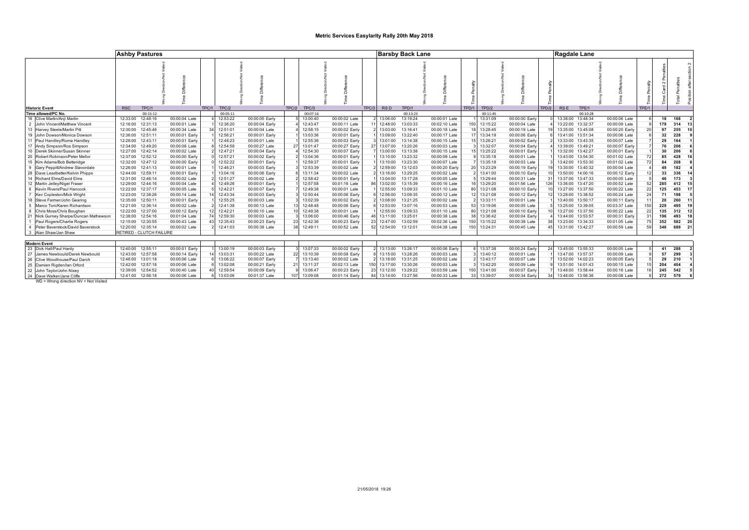### **Metric Services Easylarity Rally 20th May 2018**

|                |                                     | <b>Ashby Pastures</b>    |                |       |          |                |       |          |                |       |                 | <b>Barsby Back Lane</b> |                |       |          |                |       | Ragdale Lane      |          |                |       |     |        |                         |
|----------------|-------------------------------------|--------------------------|----------------|-------|----------|----------------|-------|----------|----------------|-------|-----------------|-------------------------|----------------|-------|----------|----------------|-------|-------------------|----------|----------------|-------|-----|--------|-------------------------|
|                | <b>Historic Event</b>               | <b>RSC</b><br>TPC/1      |                | TPC/1 | TPC/2    |                | TPC/2 | TPC/3    |                | TPC/3 | RS <sub>D</sub> | TPD/1                   |                | TPD/1 | TPD/2    |                | TPD/2 | <b>RSE</b>        | TPE/1    |                | TPE/1 |     |        |                         |
|                | Time allowed/PC No.                 | 00:15:12                 |                |       | 00:05:11 |                |       | 00:07:16 |                |       |                 | 00:13:23                |                |       | 00:11:45 |                |       |                   | 00:10:28 |                |       |     |        |                         |
|                | 16 Clive Martin/Anji Martin         | 12:33:00<br>12:48:16     | 00:00:04 Late  |       | 12:53:22 | 00:00:05 Early |       | 13:00:40 | 00:00:02 Late  |       | 13:06:00        | 13:19:24                | 00:00:01 Late  |       | 13:31:09 | 00:00:00 Early |       | 13:38:00 13:48:34 |          | 00:00:06 Late  |       | 18  | 168    | $\overline{2}$          |
| $\overline{2}$ | John Vincent/Matthew Vincent        | 12:31:13<br>12:16:00     | 00:00:01 Late  |       | 12:36:20 | 00:00:04 Early |       | 12:43:47 | 00:00:11 Late  |       | 12:48:00        | 13:03:33                | 00:02:10 Late  | 150   | 13:15:22 | 00:00:04 Late  |       | 13:22:00 13:32:37 |          | 00:00:09 Late  |       | 179 | 314    | 13                      |
|                | 13 Harvey Steele/Martin Pitt        | 12:45:46<br>12:30:00     | 00:00:34 Late  |       | 12:51:01 | 00:00:04 Late  |       | 12:58:15 | 00:00:02 Early |       | 13:03:00        | 13:16:41                | 00:00:18 Late  |       | 13:28:45 | 00:00:19 Late  |       | 13:35:00 13:45:08 |          | 00:00:20 Early |       | 97  | 255    | 10                      |
|                | 19 John Dowson/Monica Dowson        | 12:51:11<br>12:36:00     | 00:00:01 Early |       | 12:56:21 | 00:00:01 Early |       | 13:03:36 | 00:00:01 Early |       | 13:09:00        | 13:22:40                | 00:00:17 Late  |       | 13:34:19 | 00:00:06 Early |       | 13:41:00 13:51:34 |          | 00:00:06 Late  |       | 32  | 228    | 9                       |
|                | Paul Handley/Roma Handley           | 12:28:00<br>12:43:11     | 00:00:01 Early |       | 12:48:23 | 00:00:01 Late  |       | 12:55:36 | 00:00:03 Early |       | 13:01:00        | 13:14:38                | 00:00:15 Late  |       | 13:26:21 | 00:00:02 Early |       | 13:33:00 13:43:35 |          | 00:00:07 Late  |       | 29  | 164    |                         |
|                | 17 Andy Simpson/Ros Simpson         | 12:34:00<br>12:49:20     | 00:00:08 Late  |       | 12:54:58 | 00:00:27 Late  |       | 13:01:47 | 00:00:27 Early |       | 13:07:00        | 13:20:26                | 00:00:03 Late  |       | 13:32:07 | 00:00:04 Early |       | 13:39:00 13:49:21 |          | 00:00:07 Early |       | 76  | 206    | 6                       |
|                | 10 Derek Skinner/Susan Skinner      | 12:27:00 12:42:14        | 00:00:02 Late  |       | 12:47:21 | 00:00:04 Early |       | 12:54:30 | 00:00:07 Early |       | 13:00:00        | 13:13:38                | 00:00:15 Late  |       | 13:25:22 | 00:00:01 Early |       | 13:32:00 13:42:27 |          | 00:00:01 Early |       | 30  | 206    | 6                       |
|                | 20 Robert Robinson/Peter Mellor     | 12:37:00<br>12:52:12     | 00:00:00 Early |       | 12:57:21 | 00:00:02 Early |       | 13:04:36 | 00:00:01 Early |       | 13:10:00        | 13:23:32                | 00:00:09 Late  |       | 13:35:18 | 00:00:01 Late  |       | 13:43:00 13:54:30 |          | 00:01:02 Late  |       | 85  | 428    | 16                      |
|                | 15 Kim Adams/Bob Betteridge         | 12:47:12<br>12:32:00     | 00:00:00 Early |       | 12:52:22 | 00:00:01 Early |       | 12:59:37 | 00:00:01 Early |       | 13:10:00        | 13:23:30                | 00:00:07 Late  |       | 13:35:18 | 00:00:03 Late  |       | 13:42:00 13:53:30 |          | 00:01:02 Late  |       | 84  | 208    | -8                      |
| 9              | Gary Peppitt/Andrew Stavordale      | 12:26:00<br>12:41:13     | 00:00:01 Late  |       | 12:46:21 | 00:00:03 Early |       | 12:53:39 | 00:00:02 Late  |       | 12:59:00        | 13:12:03                | 00:00:20 Early |       | 13:23:29 | 00:00:19 Early |       | 13:30:00 13:40:32 |          | 00:00:04 Late  |       | 49  | 182    |                         |
|                | 28 Dave Leadbetter/Kelvin Phipps    | 12:44:00 12:59:11        | 00:00:01 Early |       | 13:04:16 | 00:00:06 Early |       | 13:11:34 | 00:00:02 Late  |       | 13:16:00        | 13:29:25                | 00:00:02 Late  |       | 13:41:00 | 00:00:10 Early |       | 13:50:00 14:00:16 |          | 00:00:12 Early |       | 33  | 336    | 14                      |
|                | 14 Richard Elms/David Elms          | 12:31:00<br>12:46:14     | 00:00:02 Late  |       | 12:51:27 | 00:00:02 Late  |       | 12:58:42 | 00:00:01 Early |       | 13:04:00        | 13:17:28                | 00:00:05 Late  |       | 13:29:44 | 00:00:31 Late  |       | 13:37:00 13:47:33 |          | 00:00:05 Late  |       | 46  | 173    | $\overline{\mathbf{3}}$ |
|                | 12 Martin Jelley/Nigel Fraser       | 12:44:16<br>12:29:00     | 00:00:04 Late  |       | 12:49:26 | 00:00:01 Early |       | 12:57:58 | 00:01:16 Late  |       | 13:02:00        | 13:15:39                | 00:00:16 Late  |       | 13:29:20 | 00:01:56 Late  |       | 13:36:00 13:47:20 |          | 00:00:52 Late  |       | 285 | 412    | 15                      |
|                | Kevin Rivers/Paul Hancock           | 12:37:17<br>12:22:00     | 00:00:05 Late  |       | 12:42:21 | 00:00:07 Early |       | 12:49:38 | 00:00:01 Late  |       | 12:55:00        | 13:09:33                | 00:01:10 Late  |       | 13:21:08 | 00:00:10 Early |       | 13:27:00 13:37:50 |          | 00:00:22 Late  |       | 125 | 453    | -17                     |
|                | <b>Kev Copleston/Mick Wright</b>    | 12:38:26<br>12:23:00     | 00:00:14 Late  |       | 12:43:34 | 00:00:03 Early |       | 12:50:44 | 00:00:06 Early |       | 12:56:00        | 13:09:35                | 00:00:12 Late  |       | 13:21:08 | 00:00:12 Early |       | 13:28:00 13:38:52 |          | 00:00:24 Late  |       | 71  | 198    | 5                       |
|                | 18 Steve Farmer/John Gearing        | 12:35:00<br>12:50:11     | 00:00:01 Early |       | 12:55:25 | 00:00:03 Late  |       | 13:02:39 | 00:00:02 Early |       | 13:08:00        | 13:21:25                | 00:00:02 Late  |       | 13:33:11 | 00:00:01 Late  |       | 13:40:00 13:50:17 |          | 00:00:11 Early |       | 20  | 260    | 11                      |
|                | Marco Toni/Karen Richardson         | 12:36:14<br>12:21:00     | 00:00:02 Late  |       | 12:41:38 | 00:00:13 Late  |       | 12:48:48 | 00:00:06 Early |       | 12:53:00        | 13:07:16                | 00:00:53 Late  |       | 13:19:06 | 00:00:05 Late  |       | 13:25:00 13:39:05 |          | 00:03:37 Late  | 150   | 229 | 495 19 |                         |
|                | Chris Moss/Chris Boughen            | 12:37:00<br>12:22:00     | 00:00:12 Early |       | 12:42:21 | 00:00:10 Late  |       | 12:49:38 | 00:00:01 Late  |       | 12:55:00        | 13:09:33                | 00:01:10 Late  |       | 13:21:08 | 00:00:10 Early |       | 13:27:00 13:37:50 |          | 00:00:22 Late  |       | 135 | 312 12 |                         |
| 21             | Nick Gurney Sharpe/Duncan Mathewson | 12:54:16<br>12:38:00     | 00:01:04 Late  |       | 12:59:30 | 00:00:03 Late  |       | 13:06:00 | 00:00:46 Early |       | 13:11:00        | 13:25:01                | 00:00:38 Late  |       | 13:36:42 | 00:00:04 Early |       | 13:44:00 13:53:57 |          | 00:00:31 Early |       | 196 | 493    | 18                      |
|                | Paul Rogers/Charlie Rogers          | 12:30:55<br>12:15:00     | 00:00:43 Late  |       | 12:35:43 | 00:00:23 Early |       | 12:42:36 | 00:00:23 Early | 23    | 12:47:00        | 13:02:59                | 00:02:36 Late  | 150   | 13:15:22 | 00:00:38 Late  |       | 13:23:00 13:34:33 |          | 00:01:05 Late  |       | 352 | 582 20 |                         |
|                | Peter Baverstock/David Baverstock   | 12:35:14<br>12:20:00     | 00:00:02 Late  |       | 12:41:03 | 00:00:38 Late  |       | 12:49:11 | 00:00:52 Late  | 52    | 12:54:00        | 13:12:01                | 00:04:38 Late  | 150   | 13:24:31 | 00:00:45 Late  |       | 13:31:00 13:42:27 |          | 00:00:59 Late  |       | 346 | 689 21 |                         |
|                | Alan Shaw/Jan Shaw                  | RETIRED - CLUTCH FAILURE |                |       |          |                |       |          |                |       |                 |                         |                |       |          |                |       |                   |          |                |       |     |        |                         |
|                |                                     |                          |                |       |          |                |       |          |                |       |                 |                         |                |       |          |                |       |                   |          |                |       |     |        |                         |
|                | <b>Modern Event</b>                 |                          |                |       |          |                |       |          |                |       |                 |                         |                |       |          |                |       |                   |          |                |       |     |        |                         |
|                | 23 Dick Hall/Paul Hardy             | 12:40:00<br>12:55:11     | 00:00:01 Early |       | 13:00:19 | 00:00:03 Early |       | 13:07:33 | 00:00:02 Early |       | 13:13:00        | 13:26:17                | 00:00:06 Early |       | 13:37:38 | 00:00:24 Early |       | 13:45:00 13:55:33 |          | 00:00:05 Late  |       | 41  | 288    | $\overline{2}$          |
| 27             | James Newbould/Derek Newbould       | 12:43:00<br>12:57:58     | 00:00:14 Early |       | 13:03:31 | 00:00:22 Late  |       | 13:10:39 | 00:00:08 Early |       | 13:15:00        | 13:28:26                | 00:00:03 Late  |       | 13:40:12 | 00:00:01 Late  |       | 13:47:00 13:57:37 |          | 00:00:09 Late  |       | 57  | 299    | $\overline{\mathbf{3}}$ |
|                | 26 Clive Woodhouse/Paul Darch       | 12:46:00<br>13:01:18     | 00:00:06 Late  |       | 13:06:22 | 00:00:07 Early |       | 13:13:40 | 00:00:02 Late  |       | 13:18:00        | 13:31:25                | 00:00:02 Late  |       | 13:43:17 | 00:00:07 Late  |       | 13:52:00 14:02:23 |          | 00:00:05 Early |       | 29  | 210    | $\overline{\mathbf{1}}$ |
|                | 25 Damien Rigden/lan Orford         | 12:57:18<br>12:42:00     | 00:00:06 Late  |       | 13:02:08 | 00:00:21 Early |       | 13:11:37 | 00:02:13 Late  |       | 13:17:00        | 13:30:26                | 00:00:03 Late  |       | 13:42:20 | 00:00:09 Late  |       | 13:51:00 14:01:43 |          | 00:00:15 Late  |       | 204 | 404    | $\overline{\mathbf{4}}$ |
|                | 22 John Taylor/John Nixey           | 12:39:00<br>12:54:52     | 00:00:40 Late  |       | 12:59:54 | 00:00:09 Early |       | 13:06:47 | 00:00:23 Early |       | 13:12:00        | 13:29:22                | 00:03:59 Late  | 150   | 13:41:00 | 00:00:07 Early |       | 13:48:00 13:58:44 |          | 00:00:16 Late  |       | 245 | 542    | 5                       |
|                | 24 Dave Walker/Jane Cliffe          | 12:41:00 12:56:18        | 00:00:06 Late  |       | 13:03:06 | 00:01:37 Late  |       | 13:09:08 | 00:01:14 Early |       | 13:14:00        | 13:27:56                | 00:00:33 Late  |       | 13:39:07 | 00:00:34 Early |       | 13:46:00 13:56:36 |          | 00:00:08 Late  |       | 272 | 579    | 6                       |

WD = Wrong direction NV = Not Visited